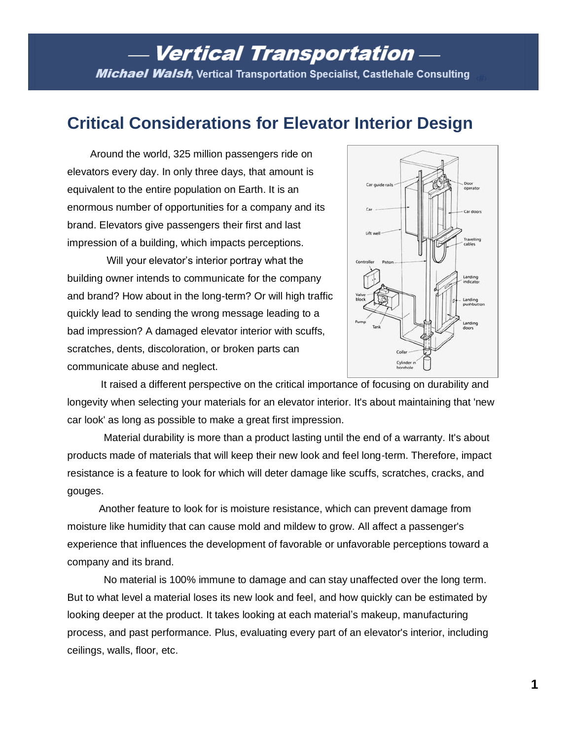# **Vertical Transportation -Michael Walsh,** Vertical Transportation Specialist, Castlehale Consulting

# **Critical Considerations for Elevator Interior Design**

 Around the world, 325 million passengers ride on elevators every day. In only three days, that amount is equivalent to the entire population on Earth. It is an enormous number of opportunities for a company and its brand. Elevators give passengers their first and last impression of a building, which impacts perceptions.

 Will your elevator's interior portray what the building owner intends to communicate for the company and brand? How about in the long-term? Or will high traffic quickly lead to sending the wrong message leading to a bad impression? A damaged elevator interior with scuffs, scratches, dents, discoloration, or broken parts can communicate abuse and neglect.



It raised a different perspective on the critical importance of focusing on durability and longevity when selecting your materials for an elevator interior. It's about maintaining that 'new car look' as long as possible to make a great first impression.

Material durability is more than a product lasting until the end of a warranty. It's about products made of materials that will keep their new look and feel long-term. Therefore, impact resistance is a feature to look for which will deter damage like scuffs, scratches, cracks, and gouges.

 Another feature to look for is moisture resistance, which can prevent damage from moisture like humidity that can cause mold and mildew to grow. All affect a passenger's experience that influences the development of favorable or unfavorable perceptions toward a company and its brand.

No material is 100% immune to damage and can stay unaffected over the long term. But to what level a material loses its new look and feel, and how quickly can be estimated by looking deeper at the product. It takes looking at each material's makeup, manufacturing process, and past performance. Plus, evaluating every part of an elevator's interior, including ceilings, walls, floor, etc.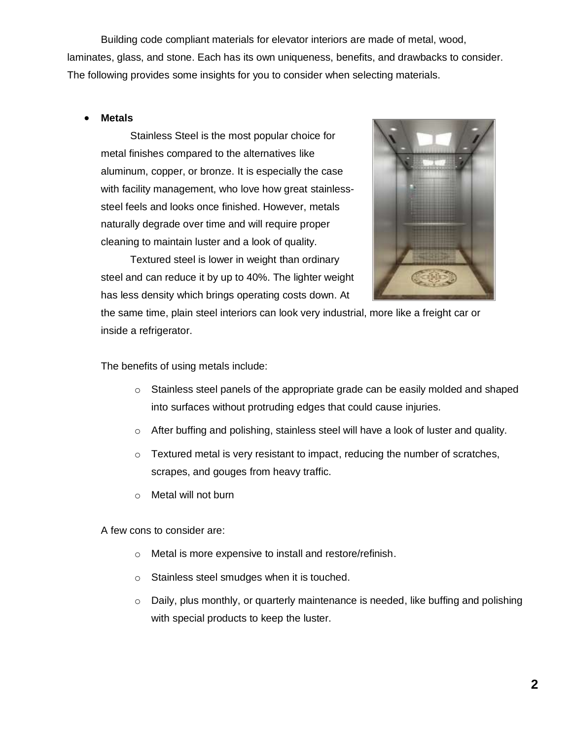Building code compliant materials for elevator interiors are made of metal, wood, laminates, glass, and stone. Each has its own uniqueness, benefits, and drawbacks to consider. The following provides some insights for you to consider when selecting materials.

#### • **Metals**

Stainless Steel is the most popular choice for metal finishes compared to the alternatives like aluminum, copper, or bronze. It is especially the case with facility management, who love how great stainlesssteel feels and looks once finished. However, metals naturally degrade over time and will require proper cleaning to maintain luster and a look of quality.

Textured steel is lower in weight than ordinary steel and can reduce it by up to 40%. The lighter weight has less density which brings operating costs down. At



the same time, plain steel interiors can look very industrial, more like a freight car or inside a refrigerator.

The benefits of using metals include:

- $\circ$  Stainless steel panels of the appropriate grade can be easily molded and shaped into surfaces without protruding edges that could cause injuries.
- o After buffing and polishing, stainless steel will have a look of luster and quality.
- $\circ$  Textured metal is very resistant to impact, reducing the number of scratches, scrapes, and gouges from heavy traffic.
- o Metal will not burn

A few cons to consider are:

- o Metal is more expensive to install and restore/refinish.
- o Stainless steel smudges when it is touched.
- o Daily, plus monthly, or quarterly maintenance is needed, like buffing and polishing with special products to keep the luster.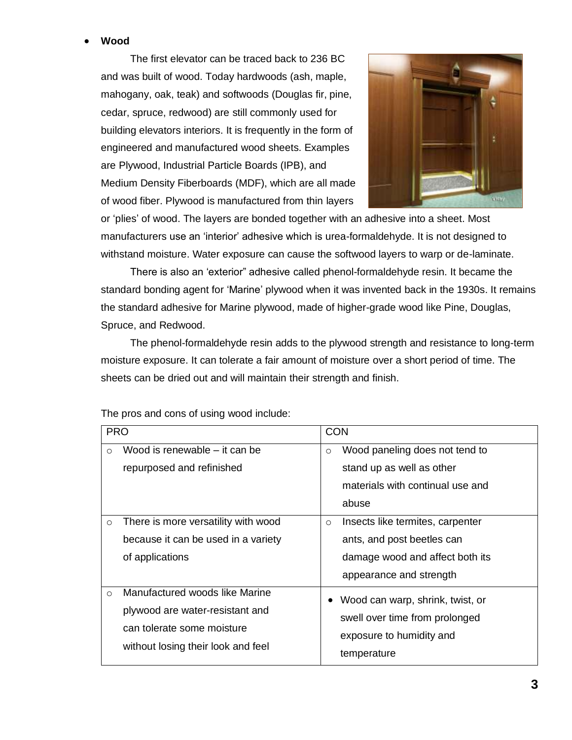### • **Wood**

The first elevator can be traced back to 236 BC and was built of wood. Today hardwoods (ash, maple, mahogany, oak, teak) and softwoods (Douglas fir, pine, cedar, spruce, redwood) are still commonly used for building elevators interiors. It is frequently in the form of engineered and manufactured wood sheets. Examples are Plywood, Industrial Particle Boards (IPB), and Medium Density Fiberboards (MDF), which are all made of wood fiber. Plywood is manufactured from thin layers



or 'plies' of wood. The layers are bonded together with an adhesive into a sheet. Most manufacturers use an 'interior' adhesive which is urea-formaldehyde. It is not designed to withstand moisture. Water exposure can cause the softwood layers to warp or de-laminate.

There is also an 'exterior" adhesive called phenol-formaldehyde resin. It became the standard bonding agent for 'Marine' plywood when it was invented back in the 1930s. It remains the standard adhesive for Marine plywood, made of higher-grade wood like Pine, Douglas, Spruce, and Redwood.

The phenol-formaldehyde resin adds to the plywood strength and resistance to long-term moisture exposure. It can tolerate a fair amount of moisture over a short period of time. The sheets can be dried out and will maintain their strength and finish.

| <b>PRO</b> |                                                                                                                                       | <b>CON</b>                                                                                                                              |
|------------|---------------------------------------------------------------------------------------------------------------------------------------|-----------------------------------------------------------------------------------------------------------------------------------------|
| $\circ$    | Wood is renewable – it can be<br>repurposed and refinished                                                                            | Wood paneling does not tend to<br>$\circ$<br>stand up as well as other<br>materials with continual use and<br>abuse                     |
| $\circ$    | There is more versatility with wood<br>because it can be used in a variety<br>of applications                                         | Insects like termites, carpenter<br>$\circ$<br>ants, and post beetles can<br>damage wood and affect both its<br>appearance and strength |
| $\circ$    | Manufactured woods like Marine<br>plywood are water-resistant and<br>can tolerate some moisture<br>without losing their look and feel | Wood can warp, shrink, twist, or<br>swell over time from prolonged<br>exposure to humidity and<br>temperature                           |

The pros and cons of using wood include: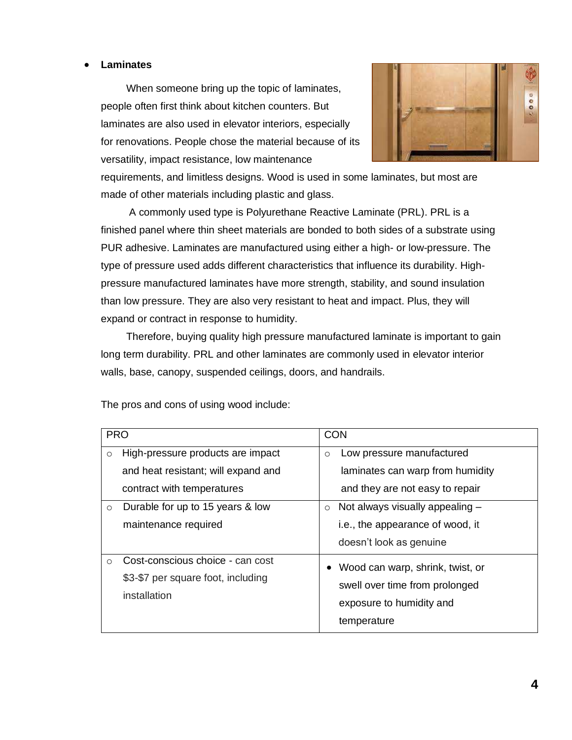#### • **Laminates**

When someone bring up the topic of laminates, people often first think about kitchen counters. But laminates are also used in elevator interiors, especially for renovations. People chose the material because of its versatility, impact resistance, low maintenance



requirements, and limitless designs. Wood is used in some laminates, but most are made of other materials including plastic and glass.

A commonly used type is Polyurethane Reactive Laminate (PRL). PRL is a finished panel where thin sheet materials are bonded to both sides of a substrate using PUR adhesive. Laminates are manufactured using either a high- or low-pressure. The type of pressure used adds different characteristics that influence its durability. Highpressure manufactured laminates have more strength, stability, and sound insulation than low pressure. They are also very resistant to heat and impact. Plus, they will expand or contract in response to humidity.

Therefore, buying quality high pressure manufactured laminate is important to gain long term durability. PRL and other laminates are commonly used in elevator interior walls, base, canopy, suspended ceilings, doors, and handrails.

| <b>PRO</b> |                                                                                                        | <b>CON</b>                                                                                                    |
|------------|--------------------------------------------------------------------------------------------------------|---------------------------------------------------------------------------------------------------------------|
| $\circ$    | High-pressure products are impact<br>and heat resistant; will expand and<br>contract with temperatures | Low pressure manufactured<br>$\circ$<br>laminates can warp from humidity<br>and they are not easy to repair   |
| $\circ$    | Durable for up to 15 years & low<br>maintenance required                                               | Not always visually appealing -<br>$\circ$<br>i.e., the appearance of wood, it<br>doesn't look as genuine     |
| $\circ$    | Cost-conscious choice - can cost<br>\$3-\$7 per square foot, including<br>installation                 | Wood can warp, shrink, twist, or<br>swell over time from prolonged<br>exposure to humidity and<br>temperature |

The pros and cons of using wood include: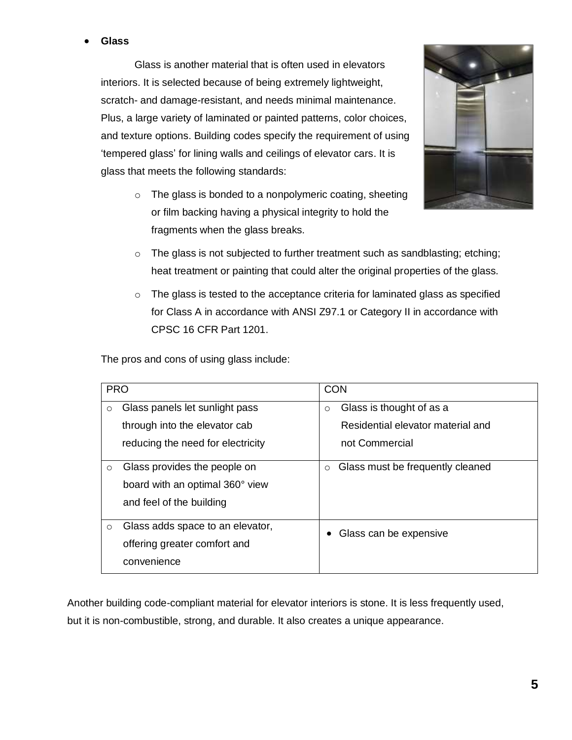### • **Glass**

Glass is another material that is often used in elevators interiors. It is selected because of being extremely lightweight, scratch- and damage-resistant, and needs minimal maintenance. Plus, a large variety of laminated or painted patterns, color choices, and texture options. Building codes specify the requirement of using 'tempered glass' for lining walls and ceilings of elevator cars. It is glass that meets the following standards:

> $\circ$  The glass is bonded to a nonpolymeric coating, sheeting or film backing having a physical integrity to hold the fragments when the glass breaks.



- o The glass is not subjected to further treatment such as sandblasting; etching; heat treatment or painting that could alter the original properties of the glass.
- $\circ$  The glass is tested to the acceptance criteria for laminated glass as specified for Class A in accordance with ANSI Z97.1 or Category II in accordance with CPSC 16 CFR Part 1201.

The pros and cons of using glass include:

| <b>PRO</b> |                                   | <b>CON</b>                                  |
|------------|-----------------------------------|---------------------------------------------|
| $\circ$    | Glass panels let sunlight pass    | Glass is thought of as a<br>$\circ$         |
|            | through into the elevator cab     | Residential elevator material and           |
|            | reducing the need for electricity | not Commercial                              |
| $\circ$    | Glass provides the people on      | Glass must be frequently cleaned<br>$\circ$ |
|            | board with an optimal 360° view   |                                             |
|            | and feel of the building          |                                             |
| $\circ$    | Glass adds space to an elevator,  | Glass can be expensive                      |
|            | offering greater comfort and      |                                             |
|            | convenience                       |                                             |

Another building code-compliant material for elevator interiors is stone. It is less frequently used, but it is non-combustible, strong, and durable. It also creates a unique appearance.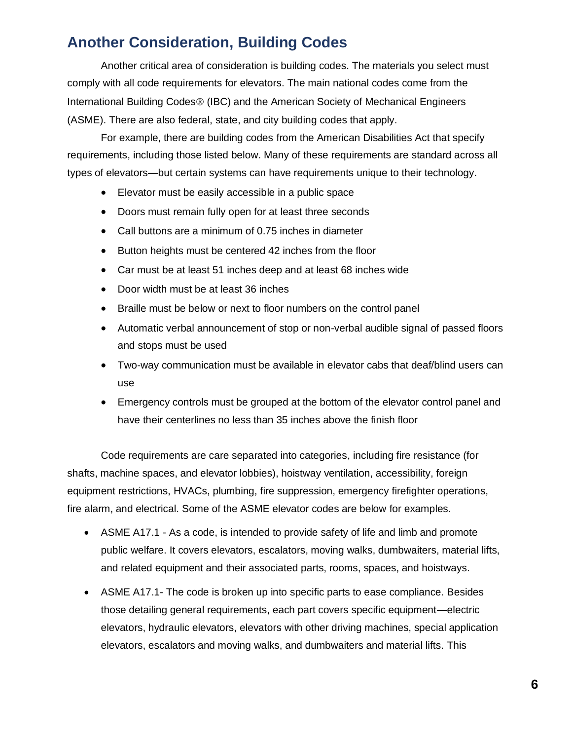## **Another Consideration, Building Codes**

Another critical area of consideration is building codes. The materials you select must comply with all code requirements for elevators. The main national codes come from the International Building Codes<sup>®</sup> (IBC) and the American Society of Mechanical Engineers (ASME). There are also federal, state, and city building codes that apply.

For example, there are building codes from the American Disabilities Act that specify requirements, including those listed below. Many of these requirements are standard across all types of elevators—but certain systems can have requirements unique to their technology.

- Elevator must be easily accessible in a public space
- Doors must remain fully open for at least three seconds
- Call buttons are a minimum of 0.75 inches in diameter
- Button heights must be centered 42 inches from the floor
- Car must be at least 51 inches deep and at least 68 inches wide
- Door width must be at least 36 inches
- Braille must be below or next to floor numbers on the control panel
- Automatic verbal announcement of stop or non-verbal audible signal of passed floors and stops must be used
- Two-way communication must be available in elevator cabs that deaf/blind users can use
- Emergency controls must be grouped at the bottom of the elevator control panel and have their centerlines no less than 35 inches above the finish floor

Code requirements are care separated into categories, including fire resistance (for shafts, machine spaces, and elevator lobbies), hoistway ventilation, accessibility, foreign equipment restrictions, HVACs, plumbing, fire suppression, emergency firefighter operations, fire alarm, and electrical. Some of the ASME elevator codes are below for examples.

- ASME A17.1 As a code, is intended to provide safety of life and limb and promote public welfare. It covers elevators, escalators, moving walks, dumbwaiters, material lifts, and related equipment and their associated parts, rooms, spaces, and hoistways.
- ASME A17.1- The code is broken up into specific parts to ease compliance. Besides those detailing general requirements, each part covers specific equipment—electric elevators, hydraulic elevators, elevators with other driving machines, special application elevators, escalators and moving walks, and dumbwaiters and material lifts. This